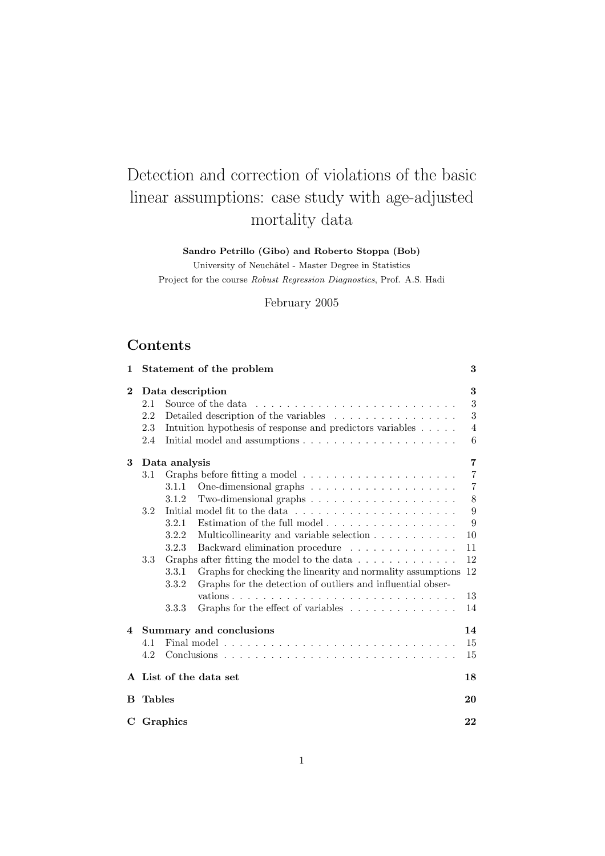# Detection and correction of violations of the basic linear assumptions: case study with age-adjusted mortality data

Sandro Petrillo (Gibo) and Roberto Stoppa (Bob)

University of Neuchâtel - Master Degree in Statistics Project for the course Robust Regression Diagnostics, Prof. A.S. Hadi

February 2005

# Contents

| 1              |               | Statement of the problem                                                         | 3              |
|----------------|---------------|----------------------------------------------------------------------------------|----------------|
| $\bf{2}$       |               | Data description                                                                 | 3              |
|                | 2.1           | Source of the data                                                               | $\sqrt{3}$     |
|                | 2.2           | Detailed description of the variables                                            | 3              |
|                | 2.3           | Intuition hypothesis of response and predictors variables                        | 4              |
|                | 2.4           | Initial model and assumptions $\ldots \ldots \ldots \ldots \ldots \ldots$        | 6              |
| 3              |               | Data analysis                                                                    | $\overline{7}$ |
|                | 3.1           |                                                                                  | $\overline{7}$ |
|                |               | 3.1.1                                                                            | $\overline{7}$ |
|                |               | 3.1.2                                                                            | 8              |
|                | 3.2           | Initial model fit to the data $\ldots \ldots \ldots \ldots \ldots \ldots \ldots$ | 9              |
|                |               | Estimation of the full model $\ldots$ , $\ldots$ , $\ldots$ , $\ldots$<br>3.2.1  | 9              |
|                |               | 3.2.2<br>Multicollinearity and variable selection                                | 10             |
|                |               | 3.2.3<br>Backward elimination procedure                                          | 11             |
|                | 3.3           | Graphs after fitting the model to the data $\ldots \ldots \ldots \ldots$         | 12             |
|                |               | Graphs for checking the linearity and normality assumptions<br>3.3.1             | 12             |
|                |               | Graphs for the detection of outliers and influential obser-<br>3.3.2             |                |
|                |               |                                                                                  | 13             |
|                |               | Graphs for the effect of variables<br>3.3.3                                      | 14             |
|                |               |                                                                                  |                |
| $\overline{4}$ |               | Summary and conclusions                                                          | 14             |
|                | 4.1           |                                                                                  | 15             |
|                | 4.2           |                                                                                  | 15             |
|                |               | A List of the data set                                                           | 18             |
| в              | <b>Tables</b> |                                                                                  | 20             |
| C              |               | Graphics                                                                         | 22             |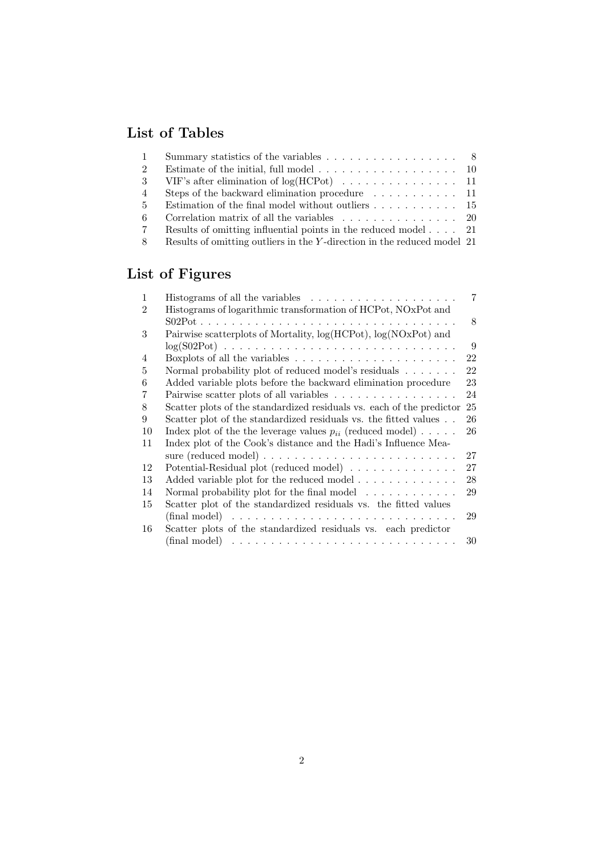# List of Tables

| -1    | Summary statistics of the variables $\ldots \ldots \ldots \ldots \ldots$ 8  |  |
|-------|-----------------------------------------------------------------------------|--|
| 2     |                                                                             |  |
| -3    |                                                                             |  |
| 4     | Steps of the backward elimination procedure $\dots \dots \dots \dots$ 11    |  |
| $5 -$ | Estimation of the final model without outliers $\dots \dots \dots \dots$ 15 |  |
| -6    |                                                                             |  |
| 7     | Results of omitting influential points in the reduced model $\dots$ 21      |  |
| -8    | Results of omitting outliers in the Y-direction in the reduced model 21     |  |

# List of Figures

| 1  | Histograms of all the variables $\ldots \ldots \ldots \ldots \ldots$            | 7  |
|----|---------------------------------------------------------------------------------|----|
| 2  | Histograms of logarithmic transformation of HCPot, NOxPot and                   |    |
|    |                                                                                 | 8  |
| 3  | Pairwise scatterplots of Mortality, log(HCPot), log(NOxPot) and                 |    |
|    |                                                                                 | 9  |
| 4  | Boxplots of all the variables $\dots \dots \dots \dots \dots \dots \dots \dots$ | 22 |
| 5  | Normal probability plot of reduced model's residuals $\dots \dots$              | 22 |
| 6  | Added variable plots before the backward elimination procedure                  | 23 |
| 7  | Pairwise scatter plots of all variables $\ldots \ldots \ldots \ldots \ldots$    | 24 |
| 8  | Scatter plots of the standardized residuals vs. each of the predictor           | 25 |
| 9  | Scatter plot of the standardized residuals vs. the fitted values                | 26 |
| 10 | Index plot of the the leverage values $p_{ii}$ (reduced model)                  | 26 |
| 11 | Index plot of the Cook's distance and the Hadi's Influence Mea-                 |    |
|    |                                                                                 | 27 |
| 12 | Potential-Residual plot (reduced model)                                         | 27 |
| 13 | Added variable plot for the reduced model                                       | 28 |
| 14 | Normal probability plot for the final model $\ldots \ldots \ldots$              | 29 |
| 15 | Scatter plot of the standardized residuals vs. the fitted values                |    |
|    |                                                                                 | 29 |
| 16 | Scatter plots of the standardized residuals vs. each predictor                  |    |
|    |                                                                                 | 30 |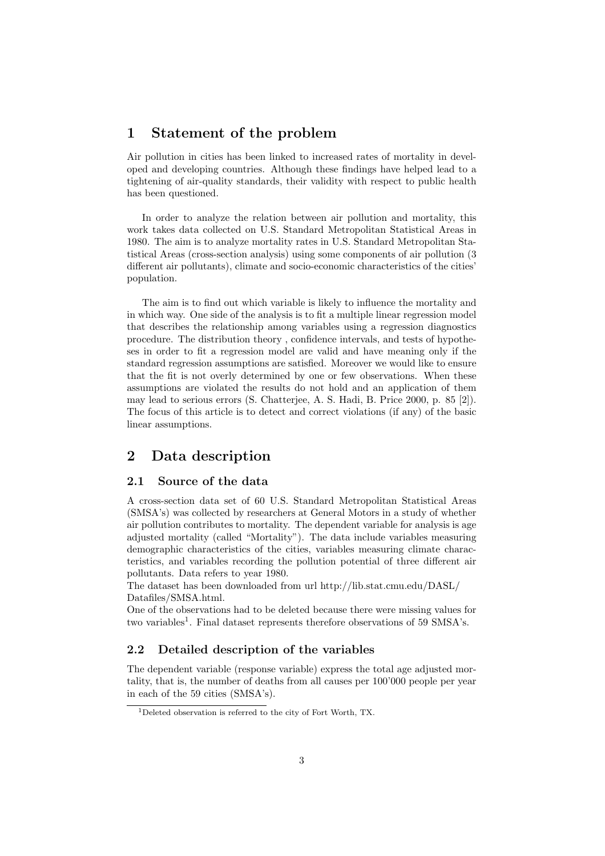### 1 Statement of the problem

Air pollution in cities has been linked to increased rates of mortality in developed and developing countries. Although these findings have helped lead to a tightening of air-quality standards, their validity with respect to public health has been questioned.

In order to analyze the relation between air pollution and mortality, this work takes data collected on U.S. Standard Metropolitan Statistical Areas in 1980. The aim is to analyze mortality rates in U.S. Standard Metropolitan Statistical Areas (cross-section analysis) using some components of air pollution (3 different air pollutants), climate and socio-economic characteristics of the cities' population.

The aim is to find out which variable is likely to influence the mortality and in which way. One side of the analysis is to fit a multiple linear regression model that describes the relationship among variables using a regression diagnostics procedure. The distribution theory , confidence intervals, and tests of hypotheses in order to fit a regression model are valid and have meaning only if the standard regression assumptions are satisfied. Moreover we would like to ensure that the fit is not overly determined by one or few observations. When these assumptions are violated the results do not hold and an application of them may lead to serious errors (S. Chatterjee, A. S. Hadi, B. Price 2000, p. 85 [2]). The focus of this article is to detect and correct violations (if any) of the basic linear assumptions.

# 2 Data description

#### 2.1 Source of the data

A cross-section data set of 60 U.S. Standard Metropolitan Statistical Areas (SMSA's) was collected by researchers at General Motors in a study of whether air pollution contributes to mortality. The dependent variable for analysis is age adjusted mortality (called "Mortality"). The data include variables measuring demographic characteristics of the cities, variables measuring climate characteristics, and variables recording the pollution potential of three different air pollutants. Data refers to year 1980.

The dataset has been downloaded from url http://lib.stat.cmu.edu/DASL/ Datafiles/SMSA.html.

One of the observations had to be deleted because there were missing values for two variables<sup>1</sup>. Final dataset represents therefore observations of 59 SMSA's.

### 2.2 Detailed description of the variables

The dependent variable (response variable) express the total age adjusted mortality, that is, the number of deaths from all causes per 100'000 people per year in each of the 59 cities (SMSA's).

<sup>1</sup>Deleted observation is referred to the city of Fort Worth, TX.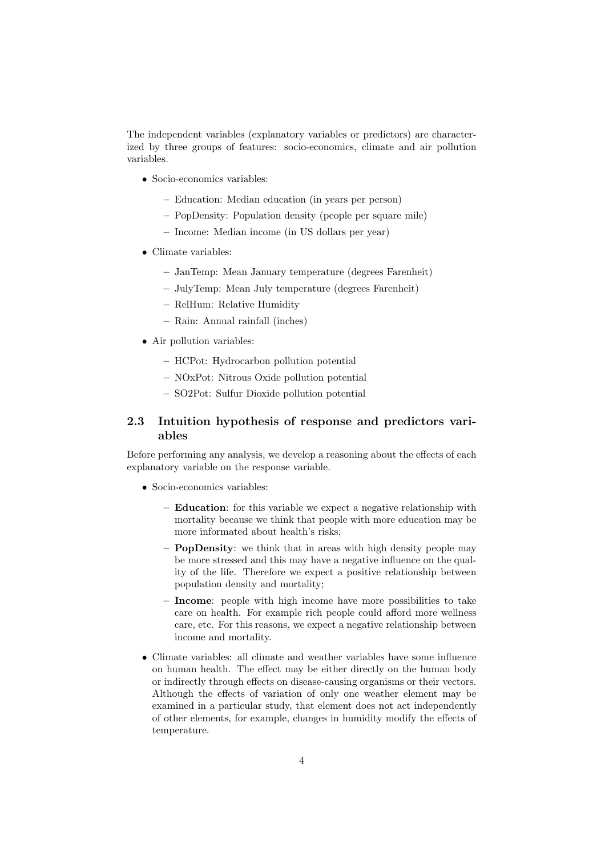The independent variables (explanatory variables or predictors) are characterized by three groups of features: socio-economics, climate and air pollution variables.

- Socio-economics variables:
	- Education: Median education (in years per person)
	- PopDensity: Population density (people per square mile)
	- Income: Median income (in US dollars per year)
- Climate variables:
	- JanTemp: Mean January temperature (degrees Farenheit)
	- JulyTemp: Mean July temperature (degrees Farenheit)
	- RelHum: Relative Humidity
	- Rain: Annual rainfall (inches)
- Air pollution variables:
	- HCPot: Hydrocarbon pollution potential
	- NOxPot: Nitrous Oxide pollution potential
	- SO2Pot: Sulfur Dioxide pollution potential

### 2.3 Intuition hypothesis of response and predictors variables

Before performing any analysis, we develop a reasoning about the effects of each explanatory variable on the response variable.

- Socio-economics variables:
	- Education: for this variable we expect a negative relationship with mortality because we think that people with more education may be more informated about health's risks;
	- PopDensity: we think that in areas with high density people may be more stressed and this may have a negative influence on the quality of the life. Therefore we expect a positive relationship between population density and mortality;
	- Income: people with high income have more possibilities to take care on health. For example rich people could afford more wellness care, etc. For this reasons, we expect a negative relationship between income and mortality.
- Climate variables: all climate and weather variables have some influence on human health. The effect may be either directly on the human body or indirectly through effects on disease-causing organisms or their vectors. Although the effects of variation of only one weather element may be examined in a particular study, that element does not act independently of other elements, for example, changes in humidity modify the effects of temperature.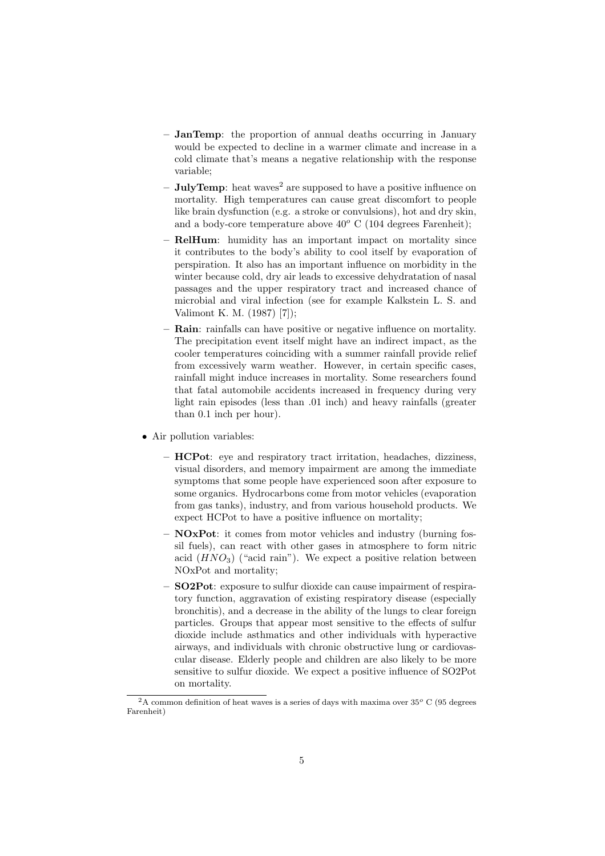- JanTemp: the proportion of annual deaths occurring in January would be expected to decline in a warmer climate and increase in a cold climate that's means a negative relationship with the response variable;
- $-$  **JulyTemp**: heat waves<sup>2</sup> are supposed to have a positive influence on mortality. High temperatures can cause great discomfort to people like brain dysfunction (e.g. a stroke or convulsions), hot and dry skin, and a body-core temperature above  $40^{\circ}$  C (104 degrees Farenheit);
- RelHum: humidity has an important impact on mortality since it contributes to the body's ability to cool itself by evaporation of perspiration. It also has an important influence on morbidity in the winter because cold, dry air leads to excessive dehydratation of nasal passages and the upper respiratory tract and increased chance of microbial and viral infection (see for example Kalkstein L. S. and Valimont K. M. (1987) [7]);
- Rain: rainfalls can have positive or negative influence on mortality. The precipitation event itself might have an indirect impact, as the cooler temperatures coinciding with a summer rainfall provide relief from excessively warm weather. However, in certain specific cases, rainfall might induce increases in mortality. Some researchers found that fatal automobile accidents increased in frequency during very light rain episodes (less than .01 inch) and heavy rainfalls (greater than 0.1 inch per hour).
- Air pollution variables:
	- HCPot: eye and respiratory tract irritation, headaches, dizziness, visual disorders, and memory impairment are among the immediate symptoms that some people have experienced soon after exposure to some organics. Hydrocarbons come from motor vehicles (evaporation from gas tanks), industry, and from various household products. We expect HCPot to have a positive influence on mortality;
	- NOxPot: it comes from motor vehicles and industry (burning fossil fuels), can react with other gases in atmosphere to form nitric acid  $(HNO<sub>3</sub>)$  ("acid rain"). We expect a positive relation between NOxPot and mortality;
	- SO2Pot: exposure to sulfur dioxide can cause impairment of respiratory function, aggravation of existing respiratory disease (especially bronchitis), and a decrease in the ability of the lungs to clear foreign particles. Groups that appear most sensitive to the effects of sulfur dioxide include asthmatics and other individuals with hyperactive airways, and individuals with chronic obstructive lung or cardiovascular disease. Elderly people and children are also likely to be more sensitive to sulfur dioxide. We expect a positive influence of SO2Pot on mortality.

 $2A$  common definition of heat waves is a series of days with maxima over 35 $^{\circ}$  C (95 degrees Farenheit)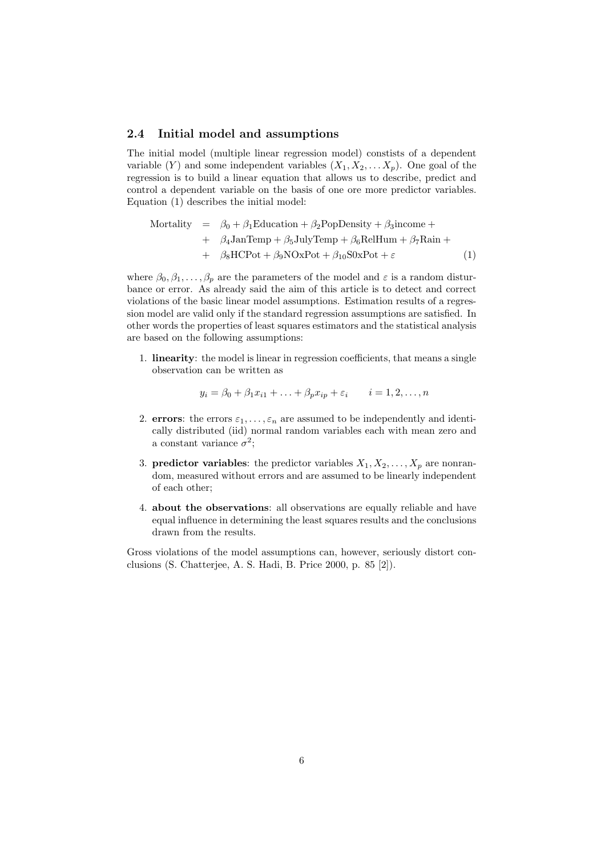#### 2.4 Initial model and assumptions

The initial model (multiple linear regression model) constists of a dependent variable  $(Y)$  and some independent variables  $(X_1, X_2, \ldots X_p)$ . One goal of the regression is to build a linear equation that allows us to describe, predict and control a dependent variable on the basis of one ore more predictor variables. Equation (1) describes the initial model:

Mortality = 
$$
\beta_0 + \beta_1 \text{Education} + \beta_2 \text{PopDensity} + \beta_3 \text{income} +
$$
  
+  $\beta_4 \text{JanTemp} + \beta_5 \text{JulyTemp} + \beta_6 \text{RelHum} + \beta_7 \text{Rain} +$   
+  $\beta_8 \text{HCPot} + \beta_9 \text{NOxPot} + \beta_{10} \text{S0xPot} + \varepsilon$  (1)

where  $\beta_0, \beta_1, \ldots, \beta_p$  are the parameters of the model and  $\varepsilon$  is a random disturbance or error. As already said the aim of this article is to detect and correct violations of the basic linear model assumptions. Estimation results of a regression model are valid only if the standard regression assumptions are satisfied. In other words the properties of least squares estimators and the statistical analysis are based on the following assumptions:

1. linearity: the model is linear in regression coefficients, that means a single observation can be written as

$$
y_i = \beta_0 + \beta_1 x_{i1} + \ldots + \beta_p x_{ip} + \varepsilon_i \qquad i = 1, 2, \ldots, n
$$

- 2. errors: the errors  $\varepsilon_1, \ldots, \varepsilon_n$  are assumed to be independently and identically distributed (iid) normal random variables each with mean zero and a constant variance  $\sigma^2$ ;
- 3. **predictor variables**: the predictor variables  $X_1, X_2, \ldots, X_p$  are nonrandom, measured without errors and are assumed to be linearly independent of each other;
- 4. about the observations: all observations are equally reliable and have equal influence in determining the least squares results and the conclusions drawn from the results.

Gross violations of the model assumptions can, however, seriously distort conclusions (S. Chatterjee, A. S. Hadi, B. Price 2000, p. 85 [2]).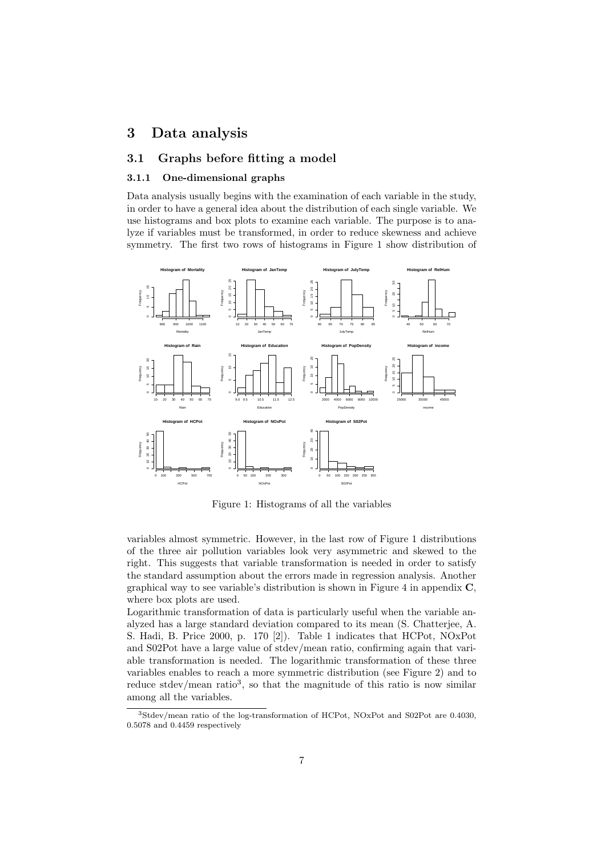## 3 Data analysis

#### 3.1 Graphs before fitting a model

#### 3.1.1 One-dimensional graphs

Data analysis usually begins with the examination of each variable in the study, in order to have a general idea about the distribution of each single variable. We use histograms and box plots to examine each variable. The purpose is to analyze if variables must be transformed, in order to reduce skewness and achieve symmetry. The first two rows of histograms in Figure 1 show distribution of



Figure 1: Histograms of all the variables

variables almost symmetric. However, in the last row of Figure 1 distributions of the three air pollution variables look very asymmetric and skewed to the right. This suggests that variable transformation is needed in order to satisfy the standard assumption about the errors made in regression analysis. Another graphical way to see variable's distribution is shown in Figure 4 in appendix C, where box plots are used.

Logarithmic transformation of data is particularly useful when the variable analyzed has a large standard deviation compared to its mean (S. Chatterjee, A. S. Hadi, B. Price 2000, p. 170 [2]). Table 1 indicates that HCPot, NOxPot and S02Pot have a large value of stdev/mean ratio, confirming again that variable transformation is needed. The logarithmic transformation of these three variables enables to reach a more symmetric distribution (see Figure 2) and to reduce stdev/mean ratio<sup>3</sup>, so that the magnitude of this ratio is now similar among all the variables.

<sup>3</sup>Stdev/mean ratio of the log-transformation of HCPot, NOxPot and S02Pot are 0.4030, 0.5078 and 0.4459 respectively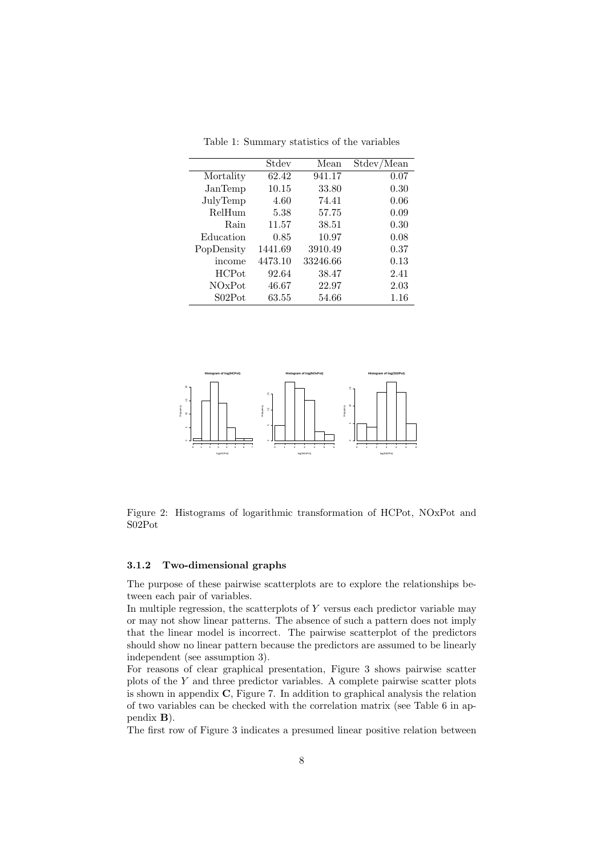|               | Stdev   | Mean     | Stdev/<br>Mean |
|---------------|---------|----------|----------------|
| Mortality     | 62.42   | 941.17   | 0.07           |
| JanTemp       | 10.15   | 33.80    | 0.30           |
| JulyTemp      | 4.60    | 74.41    | 0.06           |
| RelHum        | 5.38    | 57.75    | 0.09           |
| Rain          | 11.57   | 38.51    | 0.30           |
| Education     | 0.85    | 10.97    | 0.08           |
| PopDensity    | 1441.69 | 3910.49  | 0.37           |
| income        | 4473.10 | 33246.66 | 0.13           |
| <b>HCP</b> ot | 92.64   | 38.47    | 2.41           |
| NOxPot        | 46.67   | 22.97    | 2.03           |
| S02Pot        | 63.55   | 54.66    | 1.16           |

Table 1: Summary statistics of the variables



Figure 2: Histograms of logarithmic transformation of HCPot, NOxPot and S02Pot

#### 3.1.2 Two-dimensional graphs

The purpose of these pairwise scatterplots are to explore the relationships between each pair of variables.

In multiple regression, the scatterplots of  $Y$  versus each predictor variable may or may not show linear patterns. The absence of such a pattern does not imply that the linear model is incorrect. The pairwise scatterplot of the predictors should show no linear pattern because the predictors are assumed to be linearly independent (see assumption 3).

For reasons of clear graphical presentation, Figure 3 shows pairwise scatter plots of the Y and three predictor variables. A complete pairwise scatter plots is shown in appendix C, Figure 7. In addition to graphical analysis the relation of two variables can be checked with the correlation matrix (see Table 6 in appendix B).

The first row of Figure 3 indicates a presumed linear positive relation between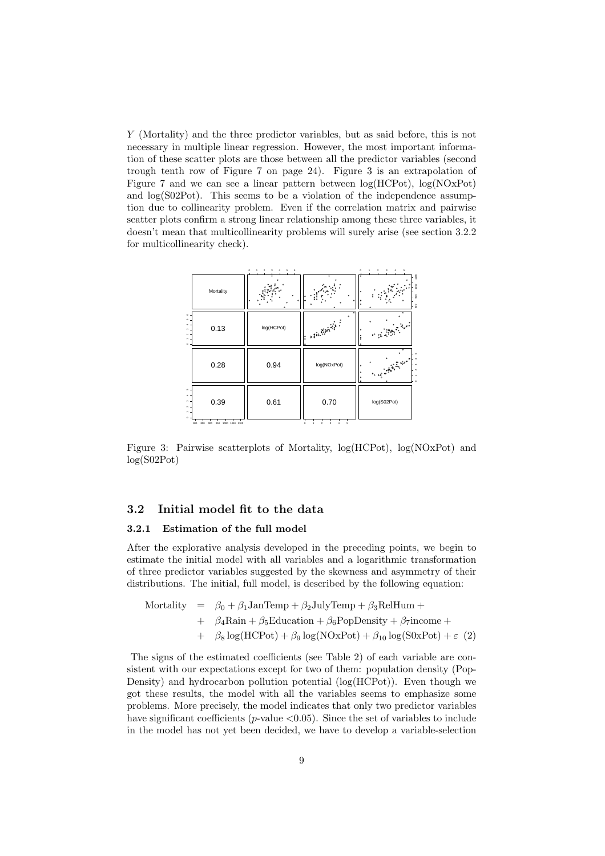Y (Mortality) and the three predictor variables, but as said before, this is not necessary in multiple linear regression. However, the most important information of these scatter plots are those between all the predictor variables (second trough tenth row of Figure 7 on page 24). Figure 3 is an extrapolation of Figure 7 and we can see a linear pattern between log(HCPot), log(NOxPot) and log(S02Pot). This seems to be a violation of the independence assumption due to collinearity problem. Even if the correlation matrix and pairwise scatter plots confirm a strong linear relationship among these three variables, it doesn't mean that multicollinearity problems will surely arise (see section 3.2.2 for multicollinearity check).



Figure 3: Pairwise scatterplots of Mortality, log(HCPot), log(NOxPot) and log(S02Pot)

#### 3.2 Initial model fit to the data

#### 3.2.1 Estimation of the full model

After the explorative analysis developed in the preceding points, we begin to estimate the initial model with all variables and a logarithmic transformation of three predictor variables suggested by the skewness and asymmetry of their distributions. The initial, full model, is described by the following equation:

Mortality = 
$$
\beta_0 + \beta_1 \text{JanTemp} + \beta_2 \text{JulyTemp} + \beta_3 \text{RelHum} +
$$
  
+  $\beta_4 \text{Rain} + \beta_5 \text{Education} + \beta_6 \text{PopDensity} + \beta_7 \text{income} +$   
+  $\beta_8 \log(\text{HCPot}) + \beta_9 \log(\text{NoxPot}) + \beta_{10} \log(\text{SoxPot}) + \varepsilon$  (2)

The signs of the estimated coefficients (see Table 2) of each variable are consistent with our expectations except for two of them: population density (Pop-Density) and hydrocarbon pollution potential (log(HCPot)). Even though we got these results, the model with all the variables seems to emphasize some problems. More precisely, the model indicates that only two predictor variables have significant coefficients ( $p$ -value  $\langle 0.05 \rangle$ ). Since the set of variables to include in the model has not yet been decided, we have to develop a variable-selection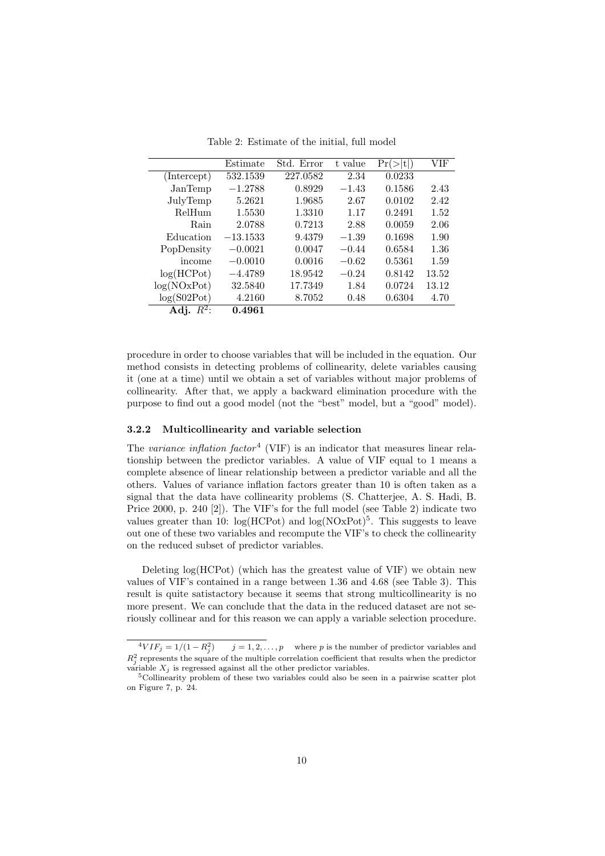|              | Estimate   | Std. Error | t value | Pr(<br> t | VIF   |
|--------------|------------|------------|---------|-----------|-------|
| (Intercept)  | 532.1539   | 227.0582   | 2.34    | 0.0233    |       |
| JanTemp      | $-1.2788$  | 0.8929     | $-1.43$ | 0.1586    | 2.43  |
| JulyTemp     | 5.2621     | 1.9685     | 2.67    | 0.0102    | 2.42  |
| RelHum       | 1.5530     | 1.3310     | 1.17    | 0.2491    | 1.52  |
| Rain         | 2.0788     | 0.7213     | 2.88    | 0.0059    | 2.06  |
| Education    | $-13.1533$ | 9.4379     | $-1.39$ | 0.1698    | 1.90  |
| PopDensity   | $-0.0021$  | 0.0047     | $-0.44$ | 0.6584    | 1.36  |
| income       | $-0.0010$  | 0.0016     | $-0.62$ | 0.5361    | 1.59  |
| log(HCPot)   | $-4.4789$  | 18.9542    | $-0.24$ | 0.8142    | 13.52 |
| log(NOxPot)  | 32.5840    | 17.7349    | 1.84    | 0.0724    | 13.12 |
| log(S02Pot)  | 4.2160     | 8.7052     | 0.48    | 0.6304    | 4.70  |
| Adj. $R^2$ : | 0.4961     |            |         |           |       |

Table 2: Estimate of the initial, full model

procedure in order to choose variables that will be included in the equation. Our method consists in detecting problems of collinearity, delete variables causing it (one at a time) until we obtain a set of variables without major problems of collinearity. After that, we apply a backward elimination procedure with the purpose to find out a good model (not the "best" model, but a "good" model).

#### 3.2.2 Multicollinearity and variable selection

The variance inflation factor<sup>4</sup> (VIF) is an indicator that measures linear relationship between the predictor variables. A value of VIF equal to 1 means a complete absence of linear relationship between a predictor variable and all the others. Values of variance inflation factors greater than 10 is often taken as a signal that the data have collinearity problems (S. Chatterjee, A. S. Hadi, B. Price 2000, p. 240 [2]). The VIF's for the full model (see Table 2) indicate two values greater than 10:  $log(HCPot)$  and  $log(NOxPot)^5$ . This suggests to leave out one of these two variables and recompute the VIF's to check the collinearity on the reduced subset of predictor variables.

Deleting log(HCPot) (which has the greatest value of VIF) we obtain new values of VIF's contained in a range between 1.36 and 4.68 (see Table 3). This result is quite satistactory because it seems that strong multicollinearity is no more present. We can conclude that the data in the reduced dataset are not seriously collinear and for this reason we can apply a variable selection procedure.

 $^{4}VIF_{j} = 1/(1 - R_{j}^{2})$  $j = 1, 2, \ldots, p$  where p is the number of predictor variables and  $R_j^2$  represents the square of the multiple correlation coefficient that results when the predictor variable  $X_i$  is regressed against all the other predictor variables.

<sup>5</sup>Collinearity problem of these two variables could also be seen in a pairwise scatter plot on Figure 7, p. 24.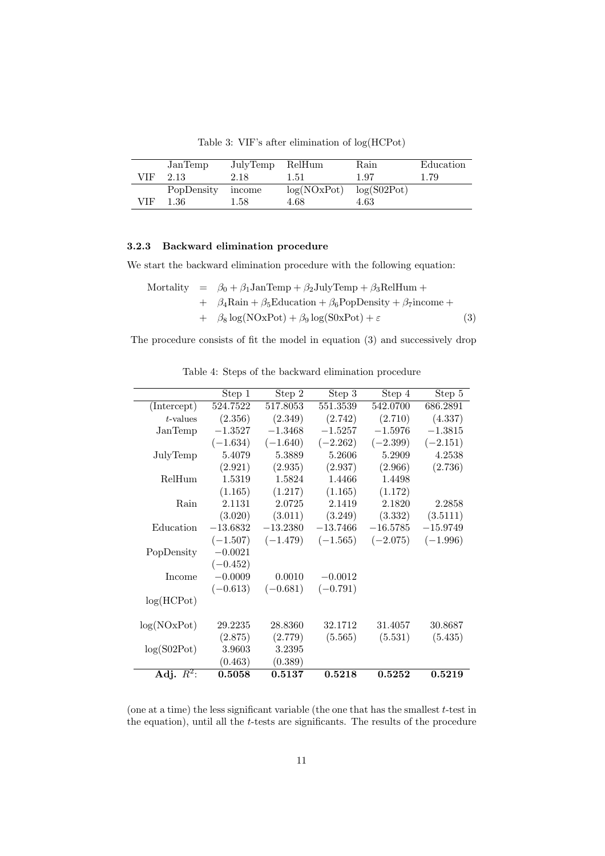Table 3: VIF's after elimination of log(HCPot)

|       | JanTemp    | JulyTemp RelHum |             | Rain        | Education |
|-------|------------|-----------------|-------------|-------------|-----------|
| VIF - | -2.13      | 2.18            | 1.51        | 1.97        | 1.79      |
|       | PopDensity | income          | log(NOxPot) | log(S02Pot) |           |
| VIF   | 1.36       | 1.58            | 4.68        | 4.63        |           |

#### 3.2.3 Backward elimination procedure

We start the backward elimination procedure with the following equation:

Mortality = 
$$
\beta_0 + \beta_1 \text{JanTemp} + \beta_2 \text{JulyTemp} + \beta_3 \text{RelHum} +
$$
  
+  $\beta_4 \text{Rain} + \beta_5 \text{Education} + \beta_6 \text{PopDensity} + \beta_7 \text{income} +$   
+  $\beta_8 \log(\text{NOxPot}) + \beta_9 \log(\text{SOxPot}) + \varepsilon$  (3)

The procedure consists of fit the model in equation (3) and successively drop

|              | Step 1     | Step 2     | Step 3     | Step 4     | Step 5     |
|--------------|------------|------------|------------|------------|------------|
| (Intercept)  | 524.7522   | 517.8053   | 551.3539   | 542.0700   | 686.2891   |
| $t$ -values  | (2.356)    | (2.349)    | (2.742)    | (2.710)    | (4.337)    |
| JanTemp      | $-1.3527$  | $-1.3468$  | $-1.5257$  | $-1.5976$  | $-1.3815$  |
|              | $(-1.634)$ | $(-1.640)$ | $(-2.262)$ | $(-2.399)$ | $(-2.151)$ |
| JulyTemp     | 5.4079     | 5.3889     | 5.2606     | 5.2909     | 4.2538     |
|              | (2.921)    | (2.935)    | (2.937)    | (2.966)    | (2.736)    |
| RelHum       | 1.5319     | 1.5824     | 1.4466     | 1.4498     |            |
|              | (1.165)    | (1.217)    | (1.165)    | (1.172)    |            |
| Rain         | 2.1131     | 2.0725     | 2.1419     | 2.1820     | 2.2858     |
|              | (3.020)    | (3.011)    | (3.249)    | (3.332)    | (3.5111)   |
| Education    | $-13.6832$ | $-13.2380$ | $-13.7466$ | $-16.5785$ | $-15.9749$ |
|              | $(-1.507)$ | $(-1.479)$ | $(-1.565)$ | $(-2.075)$ | $(-1.996)$ |
| PopDensity   | $-0.0021$  |            |            |            |            |
|              | $(-0.452)$ |            |            |            |            |
| Income       | $-0.0009$  | 0.0010     | $-0.0012$  |            |            |
|              | $(-0.613)$ | $(-0.681)$ | $(-0.791)$ |            |            |
| log(HCPot)   |            |            |            |            |            |
|              |            |            |            |            |            |
| log(NOxPot)  | 29.2235    | 28.8360    | 32.1712    | 31.4057    | 30.8687    |
|              | (2.875)    | (2.779)    | (5.565)    | (5.531)    | (5.435)    |
| log(S02Pot)  | 3.9603     | 3.2395     |            |            |            |
|              | (0.463)    | (0.389)    |            |            |            |
| Adj. $R^2$ : | 0.5058     | 0.5137     | 0.5218     | 0.5252     | 0.5219     |

Table 4: Steps of the backward elimination procedure

(one at a time) the less significant variable (the one that has the smallest  $t$ -test in the equation), until all the t-tests are significants. The results of the procedure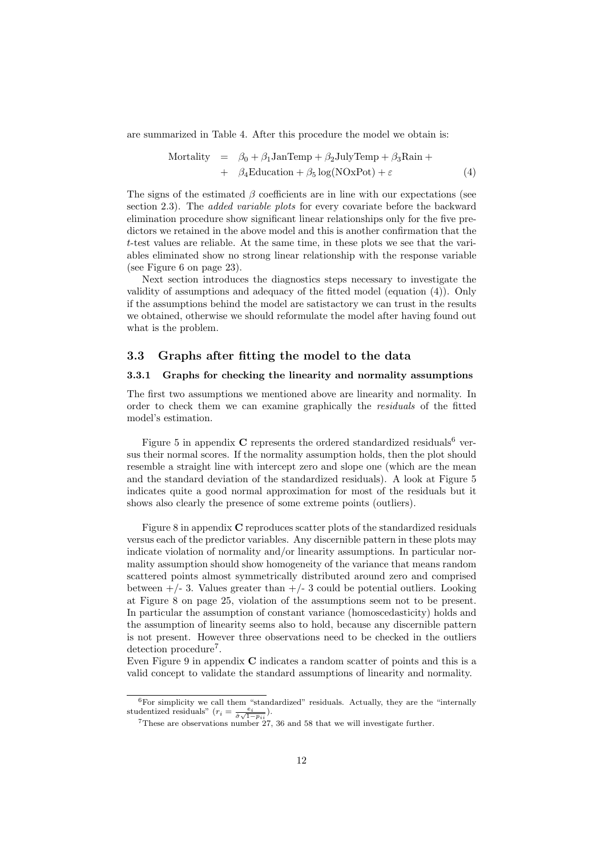are summarized in Table 4. After this procedure the model we obtain is:

Mortality = 
$$
\beta_0 + \beta_1 \text{JanTemp} + \beta_2 \text{JulyTemp} + \beta_3 \text{Rain} +
$$
  
+  $\beta_4 \text{Education} + \beta_5 \log(\text{NOxPot}) + \varepsilon$  (4)

The signs of the estimated  $\beta$  coefficients are in line with our expectations (see section 2.3). The *added variable plots* for every covariate before the backward elimination procedure show significant linear relationships only for the five predictors we retained in the above model and this is another confirmation that the t-test values are reliable. At the same time, in these plots we see that the variables eliminated show no strong linear relationship with the response variable (see Figure 6 on page 23).

Next section introduces the diagnostics steps necessary to investigate the validity of assumptions and adequacy of the fitted model (equation (4)). Only if the assumptions behind the model are satistactory we can trust in the results we obtained, otherwise we should reformulate the model after having found out what is the problem.

#### 3.3 Graphs after fitting the model to the data

#### 3.3.1 Graphs for checking the linearity and normality assumptions

The first two assumptions we mentioned above are linearity and normality. In order to check them we can examine graphically the residuals of the fitted model's estimation.

Figure 5 in appendix  $C$  represents the ordered standardized residuals<sup>6</sup> versus their normal scores. If the normality assumption holds, then the plot should resemble a straight line with intercept zero and slope one (which are the mean and the standard deviation of the standardized residuals). A look at Figure 5 indicates quite a good normal approximation for most of the residuals but it shows also clearly the presence of some extreme points (outliers).

Figure 8 in appendix C reproduces scatter plots of the standardized residuals versus each of the predictor variables. Any discernible pattern in these plots may indicate violation of normality and/or linearity assumptions. In particular normality assumption should show homogeneity of the variance that means random scattered points almost symmetrically distributed around zero and comprised between  $+/- 3$ . Values greater than  $+/- 3$  could be potential outliers. Looking at Figure 8 on page 25, violation of the assumptions seem not to be present. In particular the assumption of constant variance (homoscedasticity) holds and the assumption of linearity seems also to hold, because any discernible pattern is not present. However three observations need to be checked in the outliers detection procedure<sup>7</sup>.

Even Figure 9 in appendix  $C$  indicates a random scatter of points and this is a valid concept to validate the standard assumptions of linearity and normality.

 $6$ For simplicity we call them "standardized" residuals. Actually, they are the "internally studentized residuals"  $(r_i = \frac{e_i}{\hat{\sigma}\sqrt{1-p_{ii}}})$ .<br>
7Th see and absent in a number of 7

<sup>7</sup>These are observations number 27, 36 and 58 that we will investigate further.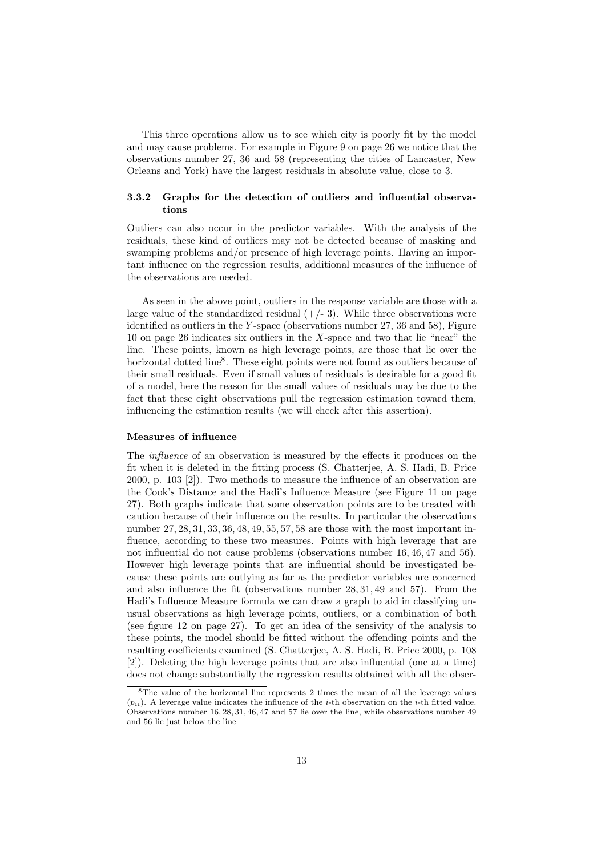This three operations allow us to see which city is poorly fit by the model and may cause problems. For example in Figure 9 on page 26 we notice that the observations number 27, 36 and 58 (representing the cities of Lancaster, New Orleans and York) have the largest residuals in absolute value, close to 3.

#### 3.3.2 Graphs for the detection of outliers and influential observations

Outliers can also occur in the predictor variables. With the analysis of the residuals, these kind of outliers may not be detected because of masking and swamping problems and/or presence of high leverage points. Having an important influence on the regression results, additional measures of the influence of the observations are needed.

As seen in the above point, outliers in the response variable are those with a large value of the standardized residual  $(+/- 3)$ . While three observations were identified as outliers in the Y-space (observations number  $27, 36$  and  $58$ ), Figure 10 on page 26 indicates six outliers in the X-space and two that lie "near" the line. These points, known as high leverage points, are those that lie over the horizontal dotted line<sup>8</sup>. These eight points were not found as outliers because of their small residuals. Even if small values of residuals is desirable for a good fit of a model, here the reason for the small values of residuals may be due to the fact that these eight observations pull the regression estimation toward them, influencing the estimation results (we will check after this assertion).

#### Measures of influence

The influence of an observation is measured by the effects it produces on the fit when it is deleted in the fitting process (S. Chatterjee, A. S. Hadi, B. Price 2000, p. 103 [2]). Two methods to measure the influence of an observation are the Cook's Distance and the Hadi's Influence Measure (see Figure 11 on page 27). Both graphs indicate that some observation points are to be treated with caution because of their influence on the results. In particular the observations number 27, 28, 31, 33, 36, 48, 49, 55, 57, 58 are those with the most important influence, according to these two measures. Points with high leverage that are not influential do not cause problems (observations number 16, 46, 47 and 56). However high leverage points that are influential should be investigated because these points are outlying as far as the predictor variables are concerned and also influence the fit (observations number 28, 31, 49 and 57). From the Hadi's Influence Measure formula we can draw a graph to aid in classifying unusual observations as high leverage points, outliers, or a combination of both (see figure 12 on page 27). To get an idea of the sensivity of the analysis to these points, the model should be fitted without the offending points and the resulting coefficients examined (S. Chatterjee, A. S. Hadi, B. Price 2000, p. 108 [2]). Deleting the high leverage points that are also influential (one at a time) does not change substantially the regression results obtained with all the obser-

<sup>8</sup>The value of the horizontal line represents 2 times the mean of all the leverage values  $(p_{ii})$ . A leverage value indicates the influence of the *i*-th observation on the *i*-th fitted value. Observations number 16, 28, 31, 46, 47 and 57 lie over the line, while observations number 49 and 56 lie just below the line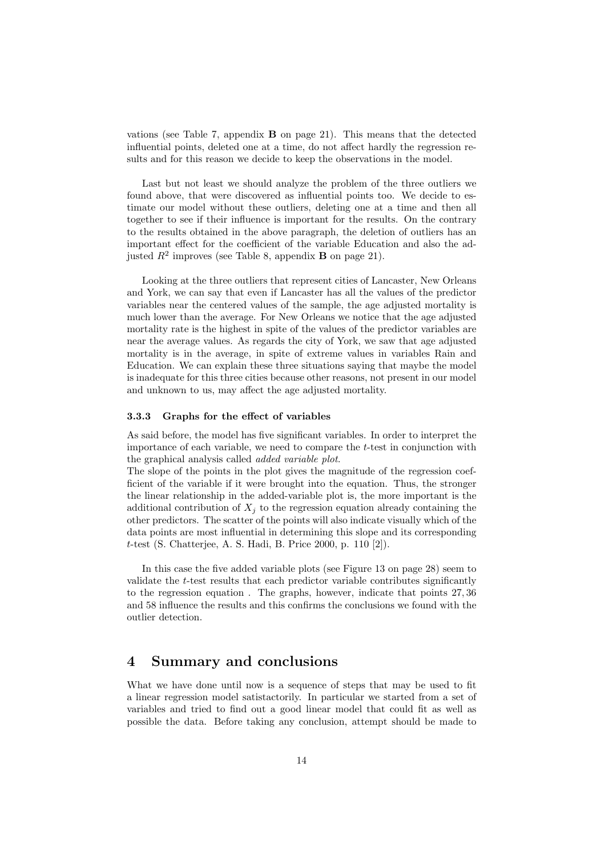vations (see Table 7, appendix  $\bf{B}$  on page 21). This means that the detected influential points, deleted one at a time, do not affect hardly the regression results and for this reason we decide to keep the observations in the model.

Last but not least we should analyze the problem of the three outliers we found above, that were discovered as influential points too. We decide to estimate our model without these outliers, deleting one at a time and then all together to see if their influence is important for the results. On the contrary to the results obtained in the above paragraph, the deletion of outliers has an important effect for the coefficient of the variable Education and also the adjusted  $R^2$  improves (see Table 8, appendix **B** on page 21).

Looking at the three outliers that represent cities of Lancaster, New Orleans and York, we can say that even if Lancaster has all the values of the predictor variables near the centered values of the sample, the age adjusted mortality is much lower than the average. For New Orleans we notice that the age adjusted mortality rate is the highest in spite of the values of the predictor variables are near the average values. As regards the city of York, we saw that age adjusted mortality is in the average, in spite of extreme values in variables Rain and Education. We can explain these three situations saying that maybe the model is inadequate for this three cities because other reasons, not present in our model and unknown to us, may affect the age adjusted mortality.

#### 3.3.3 Graphs for the effect of variables

As said before, the model has five significant variables. In order to interpret the importance of each variable, we need to compare the t-test in conjunction with the graphical analysis called added variable plot.

The slope of the points in the plot gives the magnitude of the regression coefficient of the variable if it were brought into the equation. Thus, the stronger the linear relationship in the added-variable plot is, the more important is the additional contribution of  $X_j$  to the regression equation already containing the other predictors. The scatter of the points will also indicate visually which of the data points are most influential in determining this slope and its corresponding t-test (S. Chatterjee, A. S. Hadi, B. Price 2000, p. 110 [2]).

In this case the five added variable plots (see Figure 13 on page 28) seem to validate the t-test results that each predictor variable contributes significantly to the regression equation . The graphs, however, indicate that points 27, 36 and 58 influence the results and this confirms the conclusions we found with the outlier detection.

## 4 Summary and conclusions

What we have done until now is a sequence of steps that may be used to fit a linear regression model satistactorily. In particular we started from a set of variables and tried to find out a good linear model that could fit as well as possible the data. Before taking any conclusion, attempt should be made to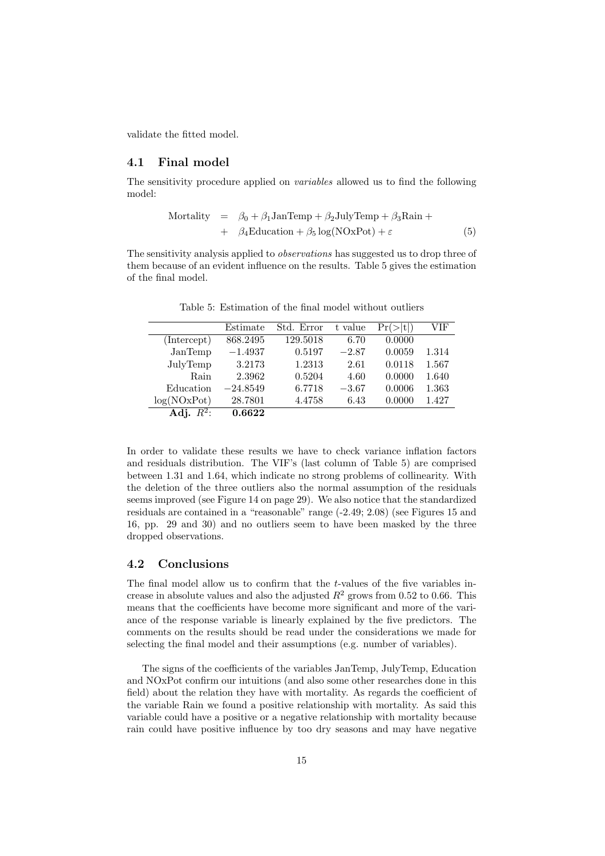validate the fitted model.

#### 4.1 Final model

The sensitivity procedure applied on variables allowed us to find the following model:

Mortality = 
$$
\beta_0 + \beta_1 \text{JanTemp} + \beta_2 \text{JulyTemp} + \beta_3 \text{Rain} +
$$
  
+  $\beta_4 \text{Education} + \beta_5 \log(\text{NOxPot}) + \varepsilon$  (5)

The sensitivity analysis applied to *observations* has suggested us to drop three of them because of an evident influence on the results. Table 5 gives the estimation of the final model.

|              | Estimate   | Std. Error | t value | $^{\dagger}$ tl)<br>Pr( | VIF   |
|--------------|------------|------------|---------|-------------------------|-------|
| (Intercept)  | 868.2495   | 129.5018   | 6.70    | 0.0000                  |       |
| JanTemp      | $-1.4937$  | 0.5197     | $-2.87$ | 0.0059                  | 1.314 |
| JulyTemp     | 3.2173     | 1.2313     | 2.61    | 0.0118                  | 1.567 |
| Rain         | 2.3962     | 0.5204     | 4.60    | 0.0000                  | 1.640 |
| Education    | $-24.8549$ | 6.7718     | $-3.67$ | 0.0006                  | 1.363 |
| log(NOxPot)  | 28.7801    | 4.4758     | 6.43    | 0.0000                  | 1.427 |
| Adj. $R^2$ : | 0.6622     |            |         |                         |       |

Table 5: Estimation of the final model without outliers

In order to validate these results we have to check variance inflation factors and residuals distribution. The VIF's (last column of Table 5) are comprised between 1.31 and 1.64, which indicate no strong problems of collinearity. With the deletion of the three outliers also the normal assumption of the residuals seems improved (see Figure 14 on page 29). We also notice that the standardized residuals are contained in a "reasonable" range (-2.49; 2.08) (see Figures 15 and 16, pp. 29 and 30) and no outliers seem to have been masked by the three dropped observations.

#### 4.2 Conclusions

The final model allow us to confirm that the t-values of the five variables increase in absolute values and also the adjusted  $R^2$  grows from 0.52 to 0.66. This means that the coefficients have become more significant and more of the variance of the response variable is linearly explained by the five predictors. The comments on the results should be read under the considerations we made for selecting the final model and their assumptions (e.g. number of variables).

The signs of the coefficients of the variables JanTemp, JulyTemp, Education and NOxPot confirm our intuitions (and also some other researches done in this field) about the relation they have with mortality. As regards the coefficient of the variable Rain we found a positive relationship with mortality. As said this variable could have a positive or a negative relationship with mortality because rain could have positive influence by too dry seasons and may have negative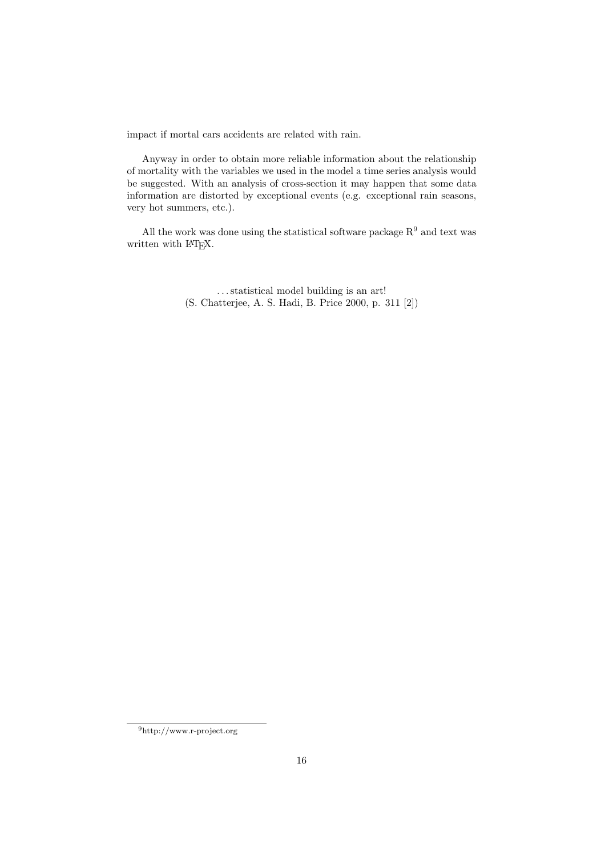impact if mortal cars accidents are related with rain.

Anyway in order to obtain more reliable information about the relationship of mortality with the variables we used in the model a time series analysis would be suggested. With an analysis of cross-section it may happen that some data information are distorted by exceptional events (e.g. exceptional rain seasons, very hot summers, etc.).

All the work was done using the statistical software package  ${\bf R}^9$  and text was written with LAT<sub>E</sub>X.

> . . . statistical model building is an art! (S. Chatterjee, A. S. Hadi, B. Price 2000, p. 311 [2])

<sup>9</sup>http://www.r-project.org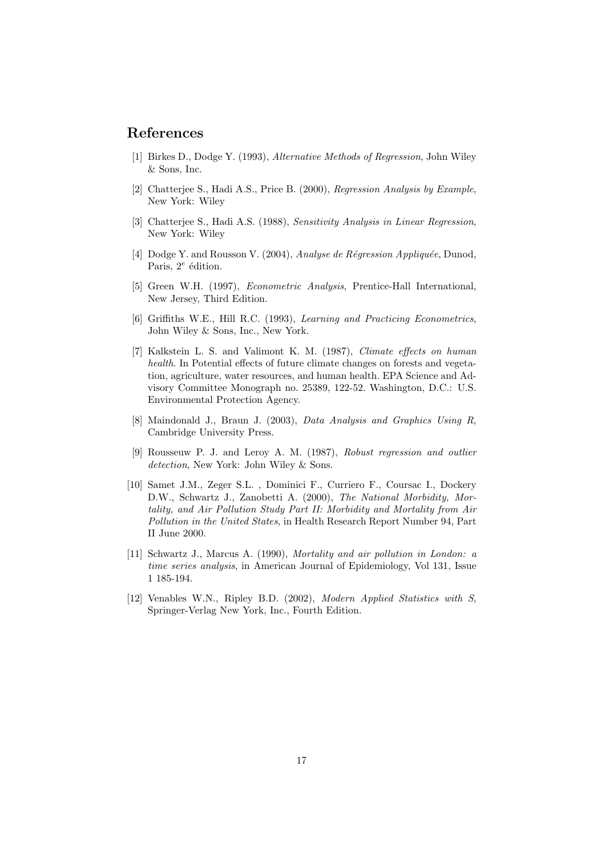## References

- [1] Birkes D., Dodge Y. (1993), Alternative Methods of Regression, John Wiley & Sons, Inc.
- [2] Chatterjee S., Hadi A.S., Price B. (2000), Regression Analysis by Example, New York: Wiley
- [3] Chatterjee S., Hadi A.S. (1988), Sensitivity Analysis in Linear Regression, New York: Wiley
- [4] Dodge Y. and Rousson V. (2004), Analyse de Régression Appliquée, Dunod, Paris,  $2^e$  édition.
- [5] Green W.H. (1997), Econometric Analysis, Prentice-Hall International, New Jersey, Third Edition.
- [6] Griffiths W.E., Hill R.C. (1993), Learning and Practicing Econometrics, John Wiley & Sons, Inc., New York.
- [7] Kalkstein L. S. and Valimont K. M. (1987), Climate effects on human health. In Potential effects of future climate changes on forests and vegetation, agriculture, water resources, and human health. EPA Science and Advisory Committee Monograph no. 25389, 122-52. Washington, D.C.: U.S. Environmental Protection Agency.
- [8] Maindonald J., Braun J. (2003), Data Analysis and Graphics Using R, Cambridge University Press.
- [9] Rousseuw P. J. and Leroy A. M. (1987), Robust regression and outlier detection, New York: John Wiley & Sons.
- [10] Samet J.M., Zeger S.L. , Dominici F., Curriero F., Coursac I., Dockery D.W., Schwartz J., Zanobetti A. (2000), The National Morbidity, Mortality, and Air Pollution Study Part II: Morbidity and Mortality from Air Pollution in the United States, in Health Research Report Number 94, Part II June 2000.
- [11] Schwartz J., Marcus A. (1990), Mortality and air pollution in London: a time series analysis, in American Journal of Epidemiology, Vol 131, Issue 1 185-194.
- [12] Venables W.N., Ripley B.D. (2002), Modern Applied Statistics with S, Springer-Verlag New York, Inc., Fourth Edition.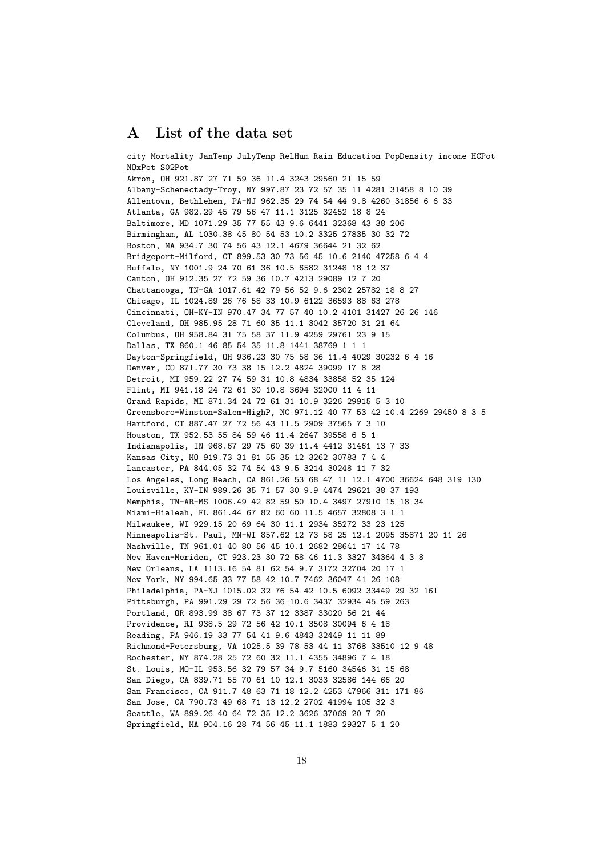### A List of the data set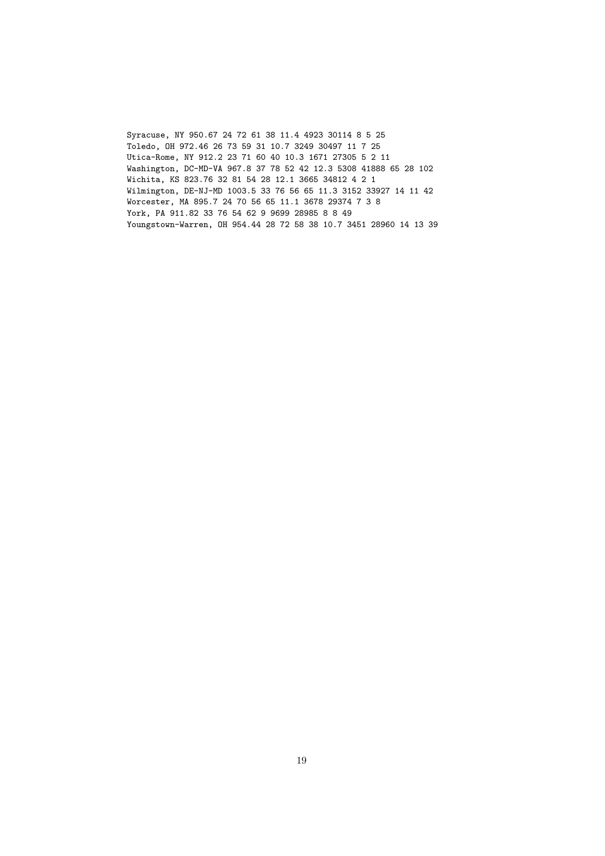Syracuse, NY 950.67 24 72 61 38 11.4 4923 30114 8 5 25 Toledo, OH 972.46 26 73 59 31 10.7 3249 30497 11 7 25 Utica-Rome, NY 912.2 23 71 60 40 10.3 1671 27305 5 2 11 Washington, DC-MD-VA 967.8 37 78 52 42 12.3 5308 41888 65 28 102 Wichita, KS 823.76 32 81 54 28 12.1 3665 34812 4 2 1 Wilmington, DE-NJ-MD 1003.5 33 76 56 65 11.3 3152 33927 14 11 42 Worcester, MA 895.7 24 70 56 65 11.1 3678 29374 7 3 8 York, PA 911.82 33 76 54 62 9 9699 28985 8 8 49 Youngstown-Warren, OH 954.44 28 72 58 38 10.7 3451 28960 14 13 39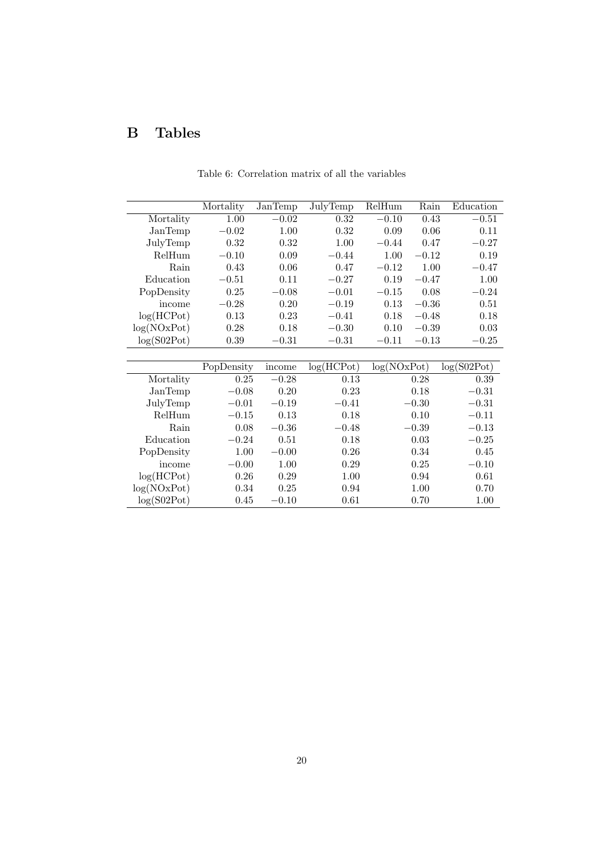# B Tables

|             | Mortality  | JanTemp | JulyTemp                | RelHum      | Rain     | Education   |
|-------------|------------|---------|-------------------------|-------------|----------|-------------|
| Mortality   | 1.00       | $-0.02$ | 0.32                    | $-0.10$     | 0.43     | $-0.51$     |
| JanTemp     | $-0.02$    | 1.00    | 0.32                    | 0.09        | 0.06     | 0.11        |
| JulyTemp    | 0.32       | 0.32    | 1.00                    | $-0.44$     | 0.47     | $-0.27$     |
| RelHum      | $-0.10$    | 0.09    | $-0.44$                 | 1.00        | $-0.12$  | 0.19        |
| Rain        | 0.43       | 0.06    | 0.47                    | $-0.12$     | $1.00\,$ | $-0.47$     |
| Education   | $-0.51$    | 0.11    | $-0.27$                 | 0.19        | $-0.47$  | 1.00        |
| PopDensity  | 0.25       | $-0.08$ | $-0.01$                 | $-0.15$     | 0.08     | $-0.24$     |
| income      | $-0.28$    | 0.20    | $-0.19$                 | 0.13        | $-0.36$  | 0.51        |
| log(HCPot)  | 0.13       | 0.23    | $-0.41$                 | 0.18        | $-0.48$  | 0.18        |
| log(NOxPot) | 0.28       | 0.18    | $-0.30$                 | 0.10        | $-0.39$  | 0.03        |
| log(S02Pot) | $0.39\,$   | $-0.31$ | $-0.31$                 | $-0.11$     | $-0.13$  | $-0.25$     |
|             |            |         |                         |             |          |             |
|             | PopDensity | income  | $log(H\overline{CPot})$ | log(NOxPot) |          | log(S02Pot) |
| Mortality   | 0.25       | $-0.28$ | 0.13                    |             | 0.28     | 0.39        |
| JanTemp     | $-0.08$    | 0.20    | 0.23                    |             | 0.18     | $-0.31$     |
| JulyTemp    | $-0.01$    | $-0.19$ | $-0.41$                 |             | $-0.30$  | $-0.31$     |
| RelHum      | $-0.15$    | 0.13    | 0.18                    |             | 0.10     | $-0.11$     |
| Rain        | 0.08       | $-0.36$ | $-0.48$                 |             | $-0.39$  | $-0.13$     |
| Education   | $-0.24$    | 0.51    | 0.18                    |             | 0.03     | $-0.25$     |
| PopDensity  | 1.00       | $-0.00$ | 0.26                    |             | 0.34     | 0.45        |
| income      | $-0.00$    | 1.00    | 0.29                    |             | 0.25     | $-0.10$     |
| log(HCPot)  | 0.26       | 0.29    | 1.00                    |             | 0.94     | 0.61        |
| log(NOxPot) | 0.34       | 0.25    | 0.94                    |             | 1.00     | 0.70        |
| log(S02Pot) | 0.45       | $-0.10$ | 0.61                    |             | 0.70     | 1.00        |

Table 6: Correlation matrix of all the variables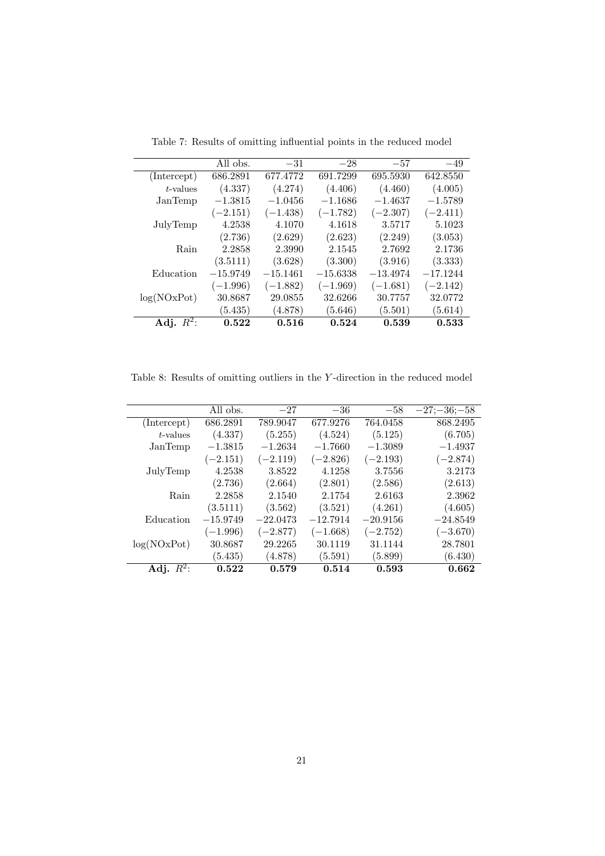|              | All obs.   | $-31$      | $-28$      | $-57$      | $-49$      |
|--------------|------------|------------|------------|------------|------------|
| (Intercept)  | 686.2891   | 677.4772   | 691.7299   | 695.5930   | 642.8550   |
| $t$ -values  | (4.337)    | (4.274)    | (4.406)    | (4.460)    | (4.005)    |
| JanTemp      | $-1.3815$  | $-1.0456$  | $-1.1686$  | $-1.4637$  | $-1.5789$  |
|              | $(-2.151)$ | $(-1.438)$ | $(-1.782)$ | $(-2.307)$ | $(-2.411)$ |
| JulyTemp     | 4.2538     | 4.1070     | 4.1618     | 3.5717     | 5.1023     |
|              | (2.736)    | (2.629)    | (2.623)    | (2.249)    | (3.053)    |
| Rain         | 2.2858     | 2.3990     | 2.1545     | 2.7692     | 2.1736     |
|              | (3.5111)   | (3.628)    | (3.300)    | (3.916)    | (3.333)    |
| Education    | $-15.9749$ | $-15.1461$ | $-15.6338$ | $-13.4974$ | $-17.1244$ |
|              | $(-1.996)$ | $(-1.882)$ | $(-1.969)$ | $(-1.681)$ | $(-2.142)$ |
| log(NOxPot)  | 30.8687    | 29.0855    | 32.6266    | 30.7757    | 32.0772    |
|              | (5.435)    | (4.878)    | (5.646)    | (5.501)    | (5.614)    |
| Adj. $R^2$ : | 0.522      | 0.516      | 0.524      | 0.539      | 0.533      |

Table 7: Results of omitting influential points in the reduced model

Table 8: Results of omitting outliers in the Y-direction in the reduced model

|              | All obs.   | $-27$      | $-36$      | $-58$      | $-27:-36:-58$ |
|--------------|------------|------------|------------|------------|---------------|
| (Intercept)  | 686.2891   | 789.9047   | 677.9276   | 764.0458   | 868.2495      |
| t-values     | (4.337)    | (5.255)    | (4.524)    | (5.125)    | (6.705)       |
| JanTemp      | $-1.3815$  | $-1.2634$  | $-1.7660$  | $-1.3089$  | $-1.4937$     |
|              | $(-2.151)$ | $(-2.119)$ | $(-2.826)$ | $(-2.193)$ | $(-2.874)$    |
| JulyTemp     | 4.2538     | 3.8522     | 4.1258     | 3.7556     | 3.2173        |
|              | (2.736)    | (2.664)    | (2.801)    | (2.586)    | (2.613)       |
| Rain         | 2.2858     | 2.1540     | 2.1754     | 2.6163     | 2.3962        |
|              | (3.5111)   | (3.562)    | (3.521)    | (4.261)    | (4.605)       |
| Education    | $-15.9749$ | $-22.0473$ | $-12.7914$ | $-20.9156$ | $-24.8549$    |
|              | $(-1.996)$ | $(-2.877)$ | $(-1.668)$ | $(-2.752)$ | $(-3.670)$    |
| log(NOxPot)  | 30.8687    | 29.2265    | 30.1119    | 31.1144    | 28.7801       |
|              | (5.435)    | (4.878)    | (5.591)    | (5.899)    | (6.430)       |
| Adj. $R^2$ : | 0.522      | 0.579      | 0.514      | 0.593      | 0.662         |
|              |            |            |            |            |               |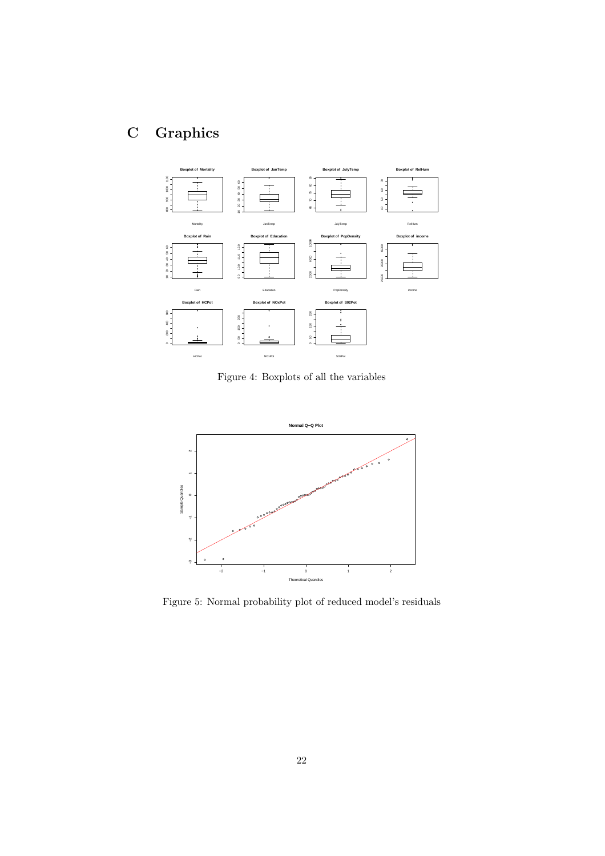# C Graphics



Figure 4: Boxplots of all the variables



Figure 5: Normal probability plot of reduced model's residuals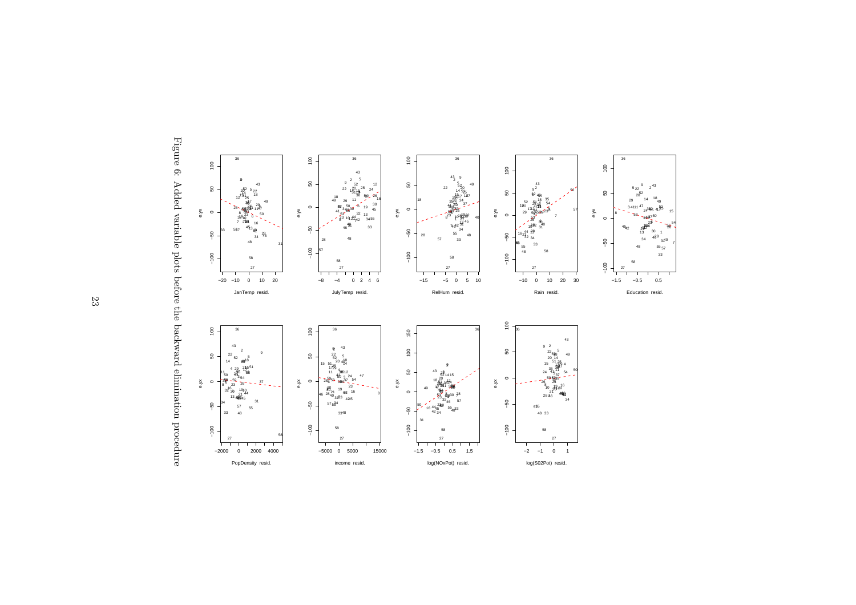

<sup>43</sup>

40 $55<sub>57</sub>$ 

Figure 6: Added variable plots before the backward elimination procedure Figure 6: Added variable plots before the backward elimination procedure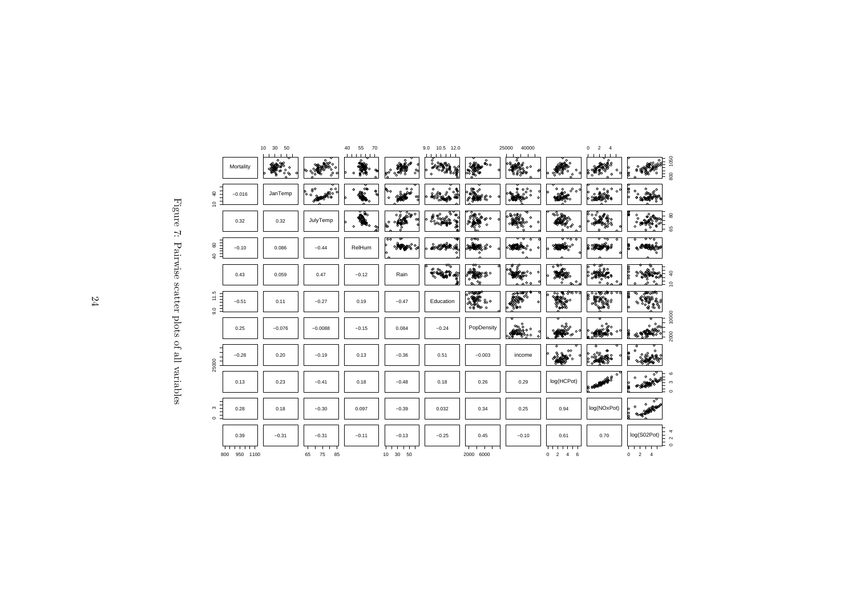| m<br>C<br>ľ       |  |
|-------------------|--|
| Pairwise scatter  |  |
|                   |  |
| COOD.             |  |
| $\epsilon$<br>cu. |  |
| CHOIC             |  |

|                               |                 | 10<br>30<br>50 |                 | 40<br>55<br>70       |                              | 9.0<br>10.5 12.0 |                                                     | 25000<br>40000                                                      |                                          | 0<br>2<br>4                                |                                             |
|-------------------------------|-----------------|----------------|-----------------|----------------------|------------------------------|------------------|-----------------------------------------------------|---------------------------------------------------------------------|------------------------------------------|--------------------------------------------|---------------------------------------------|
|                               | Mortality       | ۰<br>००        |                 | $\circ$              | $e^{\circ}$<br>°°            | $\circ$          | o<br>ق.                                             | ο°<br><u>පේරිම්ම</u>                                                | $\circ$                                  | $\circ$<br>$\circ$                         | 1050<br>ō<br>E<br>800                       |
| $\overline{a}$<br>$\tilde{a}$ | $-0.016$        | JanTemp        | စ္ ေ<br>운영<br>₩ | இல்<br>$\circ$<br>ရွ | ပ္ကိစ္<br>Юo<br>$\mathbf{o}$ | $\circ$          | '&°                                                 | $50^{\circ}$<br>۰<br>$\sim$                                         | $\circ$<br>$0^{\circ}$<br>$\circ$        | $\circ$<br>$\circ$<br>$\circ$              |                                             |
|                               | 0.32            | 0.32           | JulyTemp        | Þ,<br>$\Omega$<br>ဇွ | ౣం<br>٥ρ<br>$\circ$          | Φ                | e estados<br>⊗აი<br>$\circ$                         | $\circ$<br>$\circ$<br>c<br>$\Omega$                                 | ൦๖<br>οđ<br>$\Omega$                     |                                            | 8<br>Ω<br>$\circ$<br>C<br>$\circ$<br>6<br>8 |
| 80<br>Ξ<br>$\overline{a}$     | $-0.10$         | 0.086          | $-0.44$         | RelHum               | $\infty$<br>b<br>lo          | کی کا کامی کی    | ್ನನ್<br>ಅಂತ್ಯಾಕ್ಟ್ರೋ                                | ᠊ᠦ<br>$\overline{\circ}$<br>$\clubsuit^\circ_\circ$<br>O<br>$\circ$ | <del>००००</del>                          | ফ<br>$\circ$<br>200                        | ᢐᢦᡖ<br>$\circ$<br>0,878 P                   |
|                               | 0.43            | 0.059          | 0.47            | $-0.12$              | Rain                         | म्ह              | $\varpi_{\rm o}$<br>嚼<br>ஜ∘<br>°°<br>်လ<br>$\infty$ | ಲ<br>ക്രം<br>000                                                    | ಾಳಾ<br>నా<br>$\mathfrak{D}^{\circ}$<br>ő | $\frac{5}{\circ}$<br>$\circ$<br>$\circ$    | b<br>$\circ$<br>ةـ<br>$\overline{a}$        |
| 11.5<br>Ξ<br>$\overline{9}$ . | $-0.51$         | 0.11           | $-0.27$         | 0.19                 | $-0.47$                      | Education        | 8°                                                  | മാത്ര 8<br>മാത്ര 8<br>ൟ൦                                            | <del>ೢೢ</del> ೣೢಀೢೲೢ<br>-38              | ,ാ⊛ാകാരി<br>ŧ<br>3538                      | R<br>হ্য<br>ക്കാര<br>Q<br>88<br>இ           |
|                               | 0.25            | $-0.076$       | $-0.0088$       | $-0.15$              | 0.084                        | $-0.24$          | PopDensity                                          | త్తిం<br>იი<br>٥o<br>જ                                              | $\circ$                                  | $\circ$<br>۰<br>త్రం<br>oЧ<br><b>REGIO</b> | 10000<br>2000<br>⊛ୱ                         |
| 25000                         | $-0.28$         | 0.20           | $-0.19$         | 0.13                 | $-0.36$                      | 0.51             | $-0.003$                                            | income                                                              | $\infty$                                 |                                            | $\Omega$                                    |
|                               | 0.13            | 0.23           | $-0.41$         | 0.18                 | $-0.48$                      | 0.18             | 0.26                                                | 0.29                                                                | log(HCPot)                               | $\circ$<br>в                               | $\Omega$<br>രാ<br>$\circ$                   |
| S<br>$\circ$                  | 0.28            | 0.18           | $-0.30$         | 0.097                | $-0.39$                      | 0.032            | 0.34                                                | 0.25                                                                | 0.94                                     | log(NOxPot)                                | ె<br>$\circ$<br>$\circ$<br>þ<br>þ<br>രക്    |
|                               | 0.39            | $-0.31$        | $-0.31$         | $-0.11$              | $-0.13$                      | $-0.25$          | 0.45                                                | $-0.10$                                                             | 0.61                                     | 0.70                                       | log(S02Pot)<br>$\sim$<br>$\circ$            |
|                               | 950 1100<br>800 |                | 75<br>85<br>65  |                      | 50<br>10<br>30               |                  | 2000 6000                                           |                                                                     | $\overline{2}$<br>6<br>0<br>4            |                                            | $\overline{2}$<br>0<br>$\overline{4}$       |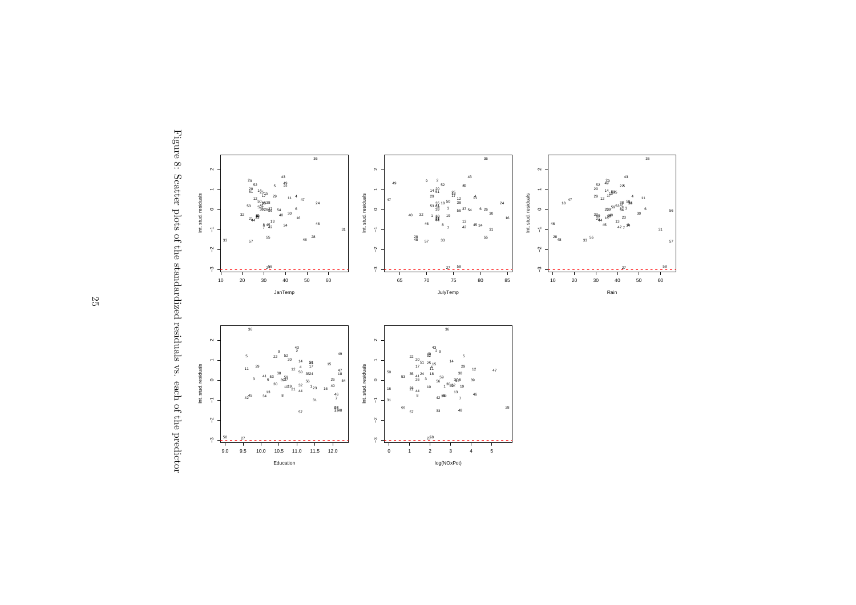

Figure 8: Scatter plots of the standardized residuals vs. each of the predictor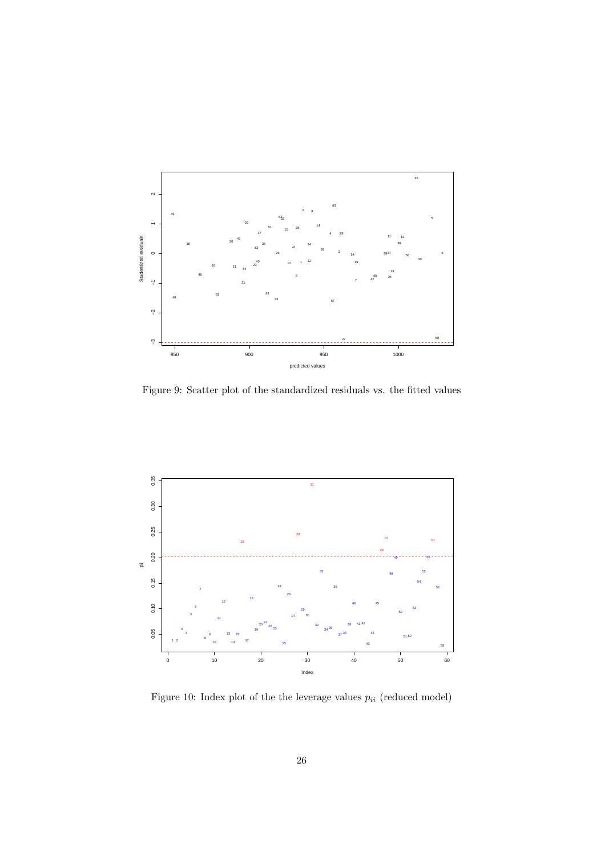

Figure 9: Scatter plot of the standardized residuals vs. the fitted values



Figure 10: Index plot of the the leverage values  $p_{ii}$  (reduced model)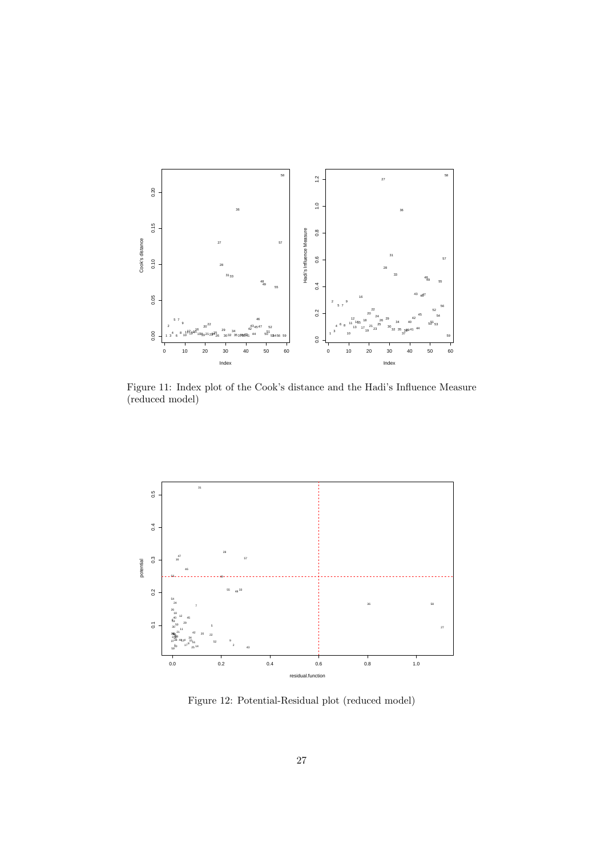

Figure 11: Index plot of the Cook's distance and the Hadi's Influence Measure (reduced model)



Figure 12: Potential-Residual plot (reduced model)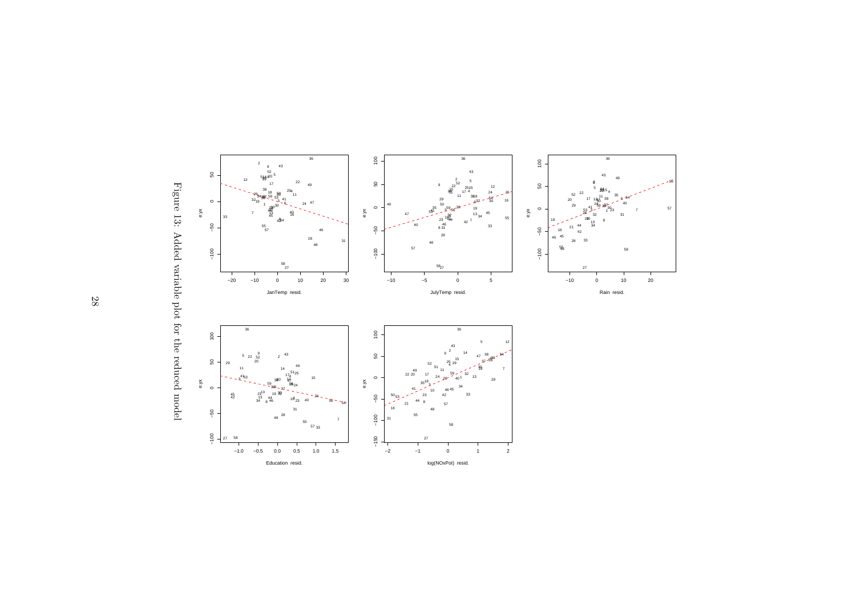

Figure 13: Added variable plot for the reduced model Figure 13: Added variable plot for the reduced model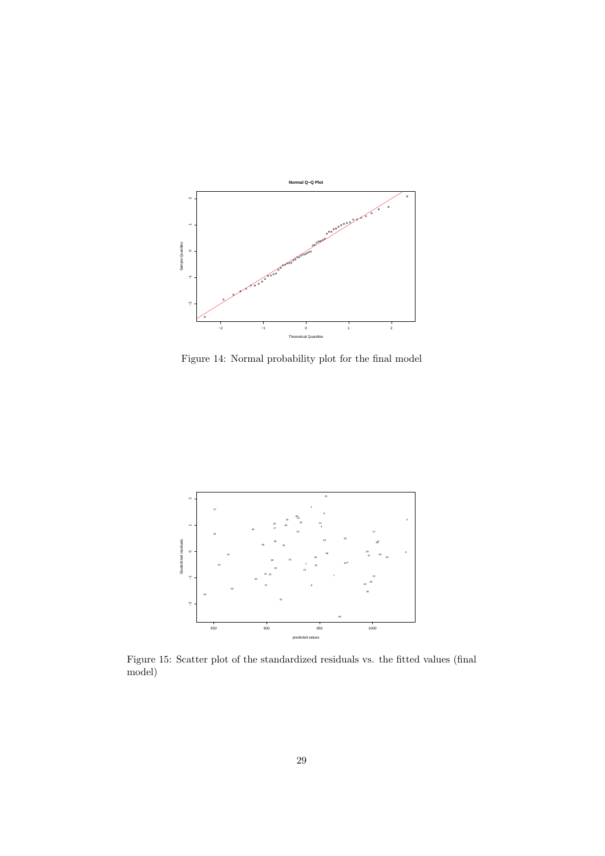

Figure 14: Normal probability plot for the final model



Figure 15: Scatter plot of the standardized residuals vs. the fitted values (final model)